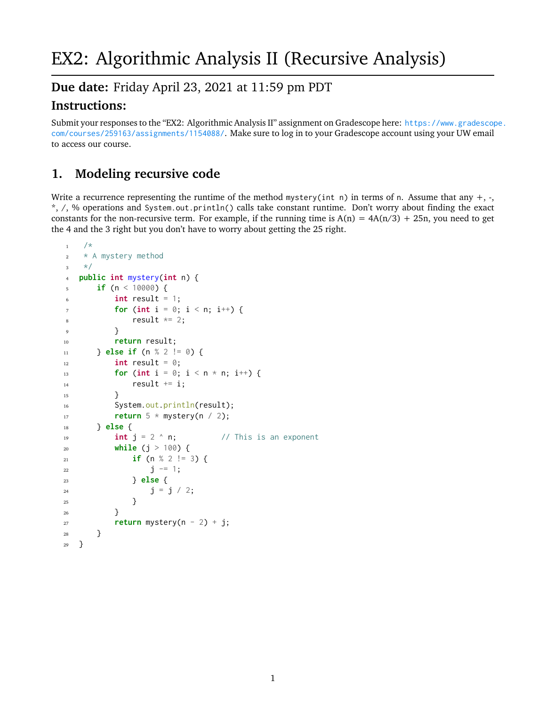## **Due date:** Friday April 23, 2021 at 11:59 pm PDT

## **Instructions:**

Submit your responses to the "EX2: Algorithmic Analysis II" assignment on Gradescope here: [https://www.gradescop](https://www.gradescope.com/courses/259163/assignments/1154088/)e. [com/courses/259163/assignments/1154088/](https://www.gradescope.com/courses/259163/assignments/1154088/). Make sure to log in to your Gradescope account using your UW email to access our course.

# **1. Modeling recursive code**

Write a recurrence representing the runtime of the method mystery(int n) in terms of n. Assume that any  $+, \cdot,$ \*, /, % operations and System.out.println() calls take constant runtime. Don't worry about finding the exact constants for the non-recursive term. For example, if the running time is  $A(n) = 4A(n/3) + 25n$ , you need to get the 4 and the 3 right but you don't have to worry about getting the 25 right.

```
1 / \star2 * A mystery method
3 \times/4 public int mystery(int n) {
5 if (n < 10000) {
\int int result = 1;
\tau for (int i = 0; i < n; i++) {
s result *= 2;<sup>9</sup> }
10 return result;
11 } else if (n % 2 != 0) {
12 int result = \theta;
13 for (int i = 0; i < n * n; i^{++}) {
14 result += i;
15 }
16 System.out.println(result);
17 return 5 * mystery(n / 2);
18 } else {
19 int j = 2 \land n; \frac{1}{2} // This is an exponent
20 while (j > 100) {
21 if (n % 2 != 3) {
22 \t\t j \t-1;23 } else {
24 j = j / 2;25 }
26 }
27 return mystery(n - 2) + j;
28 }
29 }
```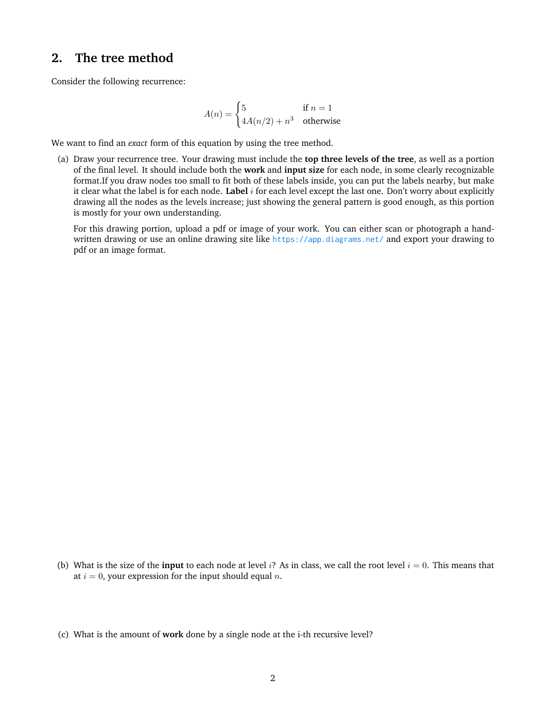#### **2. The tree method**

Consider the following recurrence:

$$
A(n) = \begin{cases} 5 & \text{if } n = 1\\ 4A(n/2) + n^3 & \text{otherwise} \end{cases}
$$

We want to find an *exact* form of this equation by using the tree method.

(a) Draw your recurrence tree. Your drawing must include the **top three levels of the tree**, as well as a portion of the final level. It should include both the **work** and **input size** for each node, in some clearly recognizable format.If you draw nodes too small to fit both of these labels inside, you can put the labels nearby, but make it clear what the label is for each node. **Label** i for each level except the last one. Don't worry about explicitly drawing all the nodes as the levels increase; just showing the general pattern is good enough, as this portion is mostly for your own understanding.

For this drawing portion, upload a pdf or image of your work. You can either scan or photograph a handwritten drawing or use an online drawing site like <https://app.diagrams.net/> and export your drawing to pdf or an image format.

(b) What is the size of the **input** to each node at level i? As in class, we call the root level  $i = 0$ . This means that at  $i = 0$ , your expression for the input should equal n.

<sup>(</sup>c) What is the amount of **work** done by a single node at the i-th recursive level?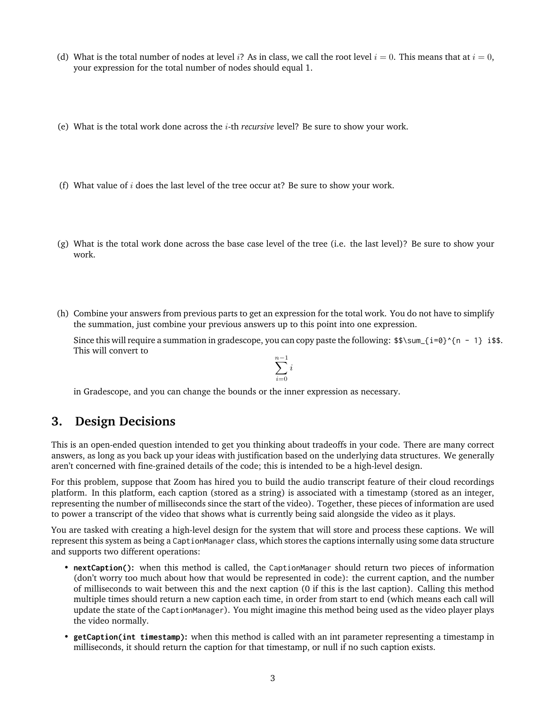- (d) What is the total number of nodes at level i? As in class, we call the root level  $i = 0$ . This means that at  $i = 0$ , your expression for the total number of nodes should equal 1.
- (e) What is the total work done across the i-th *recursive* level? Be sure to show your work.
- (f) What value of  $i$  does the last level of the tree occur at? Be sure to show your work.
- (g) What is the total work done across the base case level of the tree (i.e. the last level)? Be sure to show your work.
- (h) Combine your answers from previous parts to get an expression for the total work. You do not have to simplify the summation, just combine your previous answers up to this point into one expression.

Since this will require a summation in gradescope, you can copy paste the following:  $\frac{\frac{1}{9}^{\frac{1}{9}}}{\frac{1}{9}^{\frac{1}{10}} - 1}$  i\$\$. This will convert to

$$
\sum_{i=0}^{n-1} i
$$

in Gradescope, and you can change the bounds or the inner expression as necessary.

### **3. Design Decisions**

This is an open-ended question intended to get you thinking about tradeoffs in your code. There are many correct answers, as long as you back up your ideas with justification based on the underlying data structures. We generally aren't concerned with fine-grained details of the code; this is intended to be a high-level design.

For this problem, suppose that Zoom has hired you to build the audio transcript feature of their cloud recordings platform. In this platform, each caption (stored as a string) is associated with a timestamp (stored as an integer, representing the number of milliseconds since the start of the video). Together, these pieces of information are used to power a transcript of the video that shows what is currently being said alongside the video as it plays.

You are tasked with creating a high-level design for the system that will store and process these captions. We will represent this system as being a CaptionManager class, which stores the captions internally using some data structure and supports two different operations:

- **nextCaption():** when this method is called, the CaptionManager should return two pieces of information (don't worry too much about how that would be represented in code): the current caption, and the number of milliseconds to wait between this and the next caption (0 if this is the last caption). Calling this method multiple times should return a new caption each time, in order from start to end (which means each call will update the state of the CaptionManager). You might imagine this method being used as the video player plays the video normally.
- **getCaption(int timestamp):** when this method is called with an int parameter representing a timestamp in milliseconds, it should return the caption for that timestamp, or null if no such caption exists.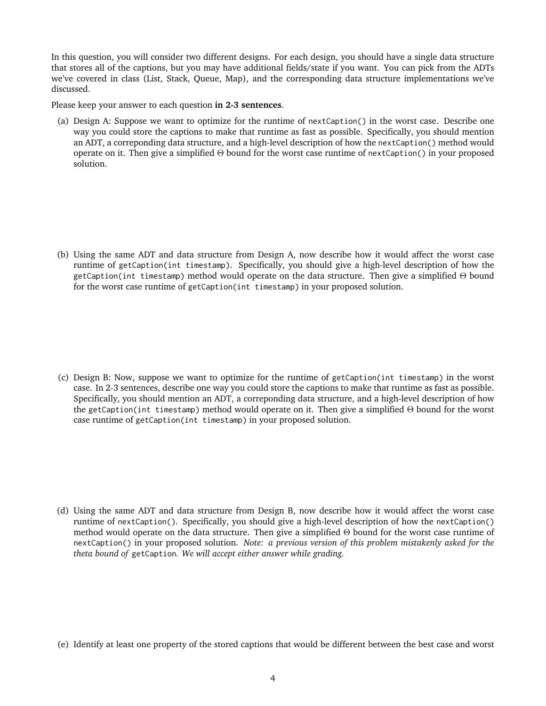In this question, you will consider two different designs. For each design, you should have a single data structure that stores all of the captions, but you may have additional fields/state if you want. You can pick from the ADTs we've covered in class (List, Stack, Queue, Map), and the corresponding data structure implementations we've discussed.

Please keep your answer to each question **in 2-3 sentences**.

(a) Design A: Suppose we want to optimize for the runtime of nextCaption() in the worst case. Describe one way you could store the captions to make that runtime as fast as possible. Specifically, you should mention an ADT, a correponding data structure, and a high-level description of how the nextCaption() method would operate on it. Then give a simplified Θ bound for the worst case runtime of nextCaption() in your proposed solution.

(b) Using the same ADT and data structure from Design A, now describe how it would affect the worst case runtime of getCaption(int timestamp). Specifically, you should give a high-level description of how the getCaption(int timestamp) method would operate on the data structure. Then give a simplified Θ bound for the worst case runtime of getCaption(int timestamp) in your proposed solution.

(c) Design B: Now, suppose we want to optimize for the runtime of getCaption(int timestamp) in the worst case. In 2-3 sentences, describe one way you could store the captions to make that runtime as fast as possible. Specifically, you should mention an ADT, a correponding data structure, and a high-level description of how the getCaption(int timestamp) method would operate on it. Then give a simplified Θ bound for the worst case runtime of getCaption(int timestamp) in your proposed solution.

(d) Using the same ADT and data structure from Design B, now describe how it would affect the worst case runtime of nextCaption(). Specifically, you should give a high-level description of how the nextCaption() method would operate on the data structure. Then give a simplified Θ bound for the worst case runtime of nextCaption() in your proposed solution. *Note: a previous version of this problem mistakenly asked for the theta bound of* getCaption*. We will accept either answer while grading.*

(e) Identify at least one property of the stored captions that would be different between the best case and worst